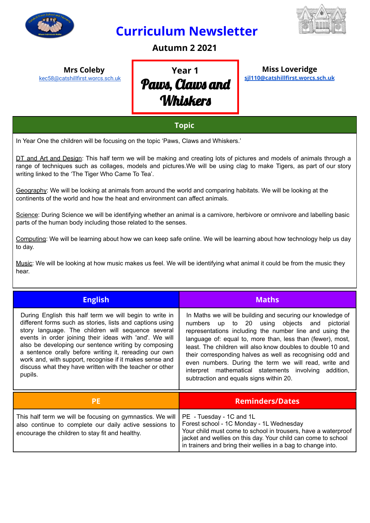

## **Curriculum Newsletter**



**Autumn 2 2021**

**Mrs Coleby** [kec58@catshillfirst.worcs.sch.uk](mailto:kec58@catshillfirst.worcs.sch.uk)

# **Year 1** Paws, Claws and **Whiskers**

#### **Miss Loveridge [sjl110@catshillfirst.worcs.sch.uk](mailto:sjl110@catshillfirst.worcs.sch.uk)**

#### **Topic**

In Year One the children will be focusing on the topic 'Paws, Claws and Whiskers.'

DT and Art and Design: This half term we will be making and creating lots of pictures and models of animals through a range of techniques such as collages, models and pictures.We will be using clag to make Tigers, as part of our story writing linked to the 'The Tiger Who Came To Tea'.

Geography: We will be looking at animals from around the world and comparing habitats. We will be looking at the continents of the world and how the heat and environment can affect animals.

Science: During Science we will be identifying whether an animal is a carnivore, herbivore or omnivore and labelling basic parts of the human body including those related to the senses.

Computing: We will be learning about how we can keep safe online. We will be learning about how technology help us day to day.

Music: We will be looking at how music makes us feel. We will be identifying what animal it could be from the music they hear.

| <b>English</b>                                                                                                                                                                                                                                                                                                                                                                                                                                                                            | <b>Maths</b>                                                                                                                                                                                                                                                                                                                                                                                                                                                                                                                 |  |
|-------------------------------------------------------------------------------------------------------------------------------------------------------------------------------------------------------------------------------------------------------------------------------------------------------------------------------------------------------------------------------------------------------------------------------------------------------------------------------------------|------------------------------------------------------------------------------------------------------------------------------------------------------------------------------------------------------------------------------------------------------------------------------------------------------------------------------------------------------------------------------------------------------------------------------------------------------------------------------------------------------------------------------|--|
| During English this half term we will begin to write in<br>different forms such as stories, lists and captions using<br>story language. The children will sequence several<br>events in order joining their ideas with 'and'. We will<br>also be developing our sentence writing by composing<br>a sentence orally before writing it, rereading our own<br>work and, with support, recognise if it makes sense and<br>discuss what they have written with the teacher or other<br>pupils. | In Maths we will be building and securing our knowledge of<br>numbers up to 20 using objects and pictorial<br>representations including the number line and using the<br>language of: equal to, more than, less than (fewer), most,<br>least. The children will also know doubles to double 10 and<br>their corresponding halves as well as recognising odd and<br>even numbers. During the term we will read, write and<br>interpret mathematical statements involving addition,<br>subtraction and equals signs within 20. |  |
| <b>PE</b>                                                                                                                                                                                                                                                                                                                                                                                                                                                                                 | <b>Reminders/Dates</b>                                                                                                                                                                                                                                                                                                                                                                                                                                                                                                       |  |
| This half term we will be focusing on gymnastics. We will<br>also continue to complete our daily active sessions to<br>encourage the children to stay fit and healthy.                                                                                                                                                                                                                                                                                                                    | PE - Tuesday - 1C and 1L<br>Forest school - 1C Monday - 1L Wednesday<br>Your child must come to school in trousers, have a waterproof<br>jacket and wellies on this day. Your child can come to school<br>in trainers and bring their wellies in a bag to change into.                                                                                                                                                                                                                                                       |  |